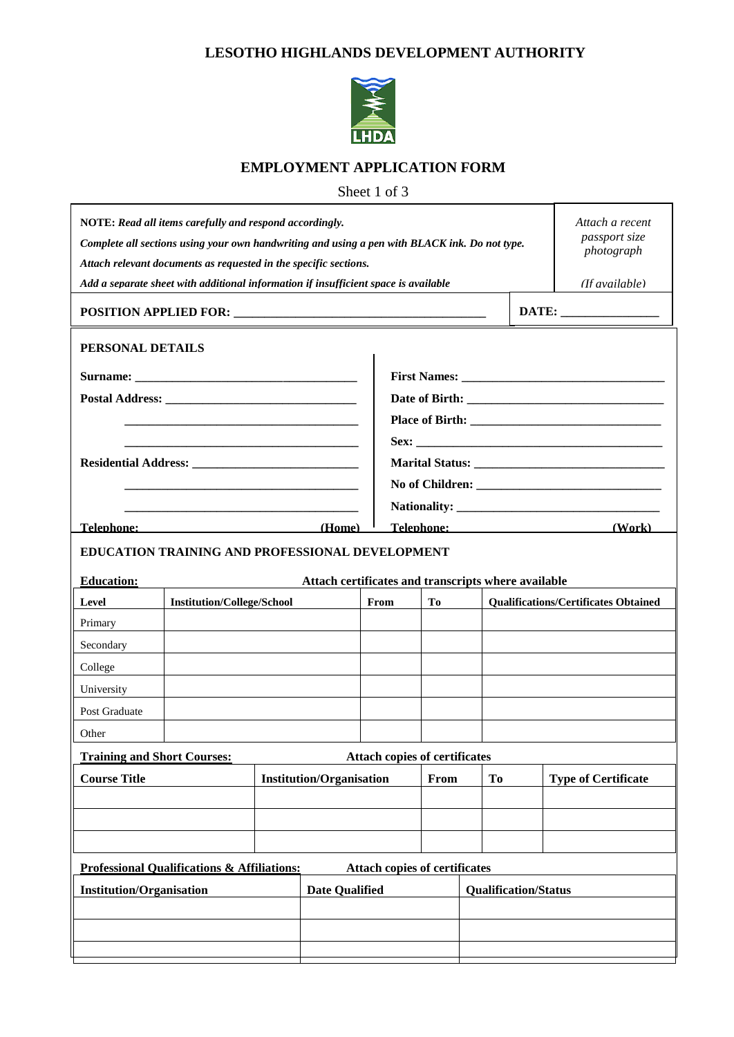## **LESOTHO HIGHLANDS DEVELOPMENT AUTHORITY**



## **EMPLOYMENT APPLICATION FORM**

Sheet 1 of 3

| Attach a recent<br>NOTE: Read all items carefully and respond accordingly.<br>passport size<br>Complete all sections using your own handwriting and using a pen with BLACK ink. Do not type.<br>photograph<br>Attach relevant documents as requested in the specific sections. |                                   |                                 |                                                     |      |      |                             |                                             |                                                                                                                          |  |  |
|--------------------------------------------------------------------------------------------------------------------------------------------------------------------------------------------------------------------------------------------------------------------------------|-----------------------------------|---------------------------------|-----------------------------------------------------|------|------|-----------------------------|---------------------------------------------|--------------------------------------------------------------------------------------------------------------------------|--|--|
| Add a separate sheet with additional information if insufficient space is available                                                                                                                                                                                            | (If available)                    |                                 |                                                     |      |      |                             |                                             |                                                                                                                          |  |  |
|                                                                                                                                                                                                                                                                                |                                   |                                 |                                                     |      |      |                             |                                             |                                                                                                                          |  |  |
| PERSONAL DETAILS                                                                                                                                                                                                                                                               |                                   |                                 |                                                     |      |      |                             |                                             |                                                                                                                          |  |  |
|                                                                                                                                                                                                                                                                                |                                   |                                 |                                                     |      |      |                             |                                             |                                                                                                                          |  |  |
|                                                                                                                                                                                                                                                                                |                                   |                                 |                                                     |      |      |                             |                                             |                                                                                                                          |  |  |
|                                                                                                                                                                                                                                                                                |                                   |                                 |                                                     |      |      |                             |                                             |                                                                                                                          |  |  |
|                                                                                                                                                                                                                                                                                |                                   |                                 |                                                     |      |      |                             |                                             |                                                                                                                          |  |  |
|                                                                                                                                                                                                                                                                                |                                   |                                 |                                                     |      |      |                             |                                             |                                                                                                                          |  |  |
|                                                                                                                                                                                                                                                                                |                                   |                                 |                                                     |      |      |                             |                                             |                                                                                                                          |  |  |
|                                                                                                                                                                                                                                                                                |                                   |                                 |                                                     |      |      |                             |                                             |                                                                                                                          |  |  |
| Telephone:                                                                                                                                                                                                                                                                     |                                   |                                 | (Home)                                              |      |      |                             |                                             | (Work)<br>Telephone: The Contract of the Contract of the Contract of the Contract of the Contract of the Contract of the |  |  |
| <b>EDUCATION TRAINING AND PROFESSIONAL DEVELOPMENT</b>                                                                                                                                                                                                                         |                                   |                                 |                                                     |      |      |                             |                                             |                                                                                                                          |  |  |
| <b>Education:</b>                                                                                                                                                                                                                                                              |                                   |                                 | Attach certificates and transcripts where available |      |      |                             |                                             |                                                                                                                          |  |  |
| Level                                                                                                                                                                                                                                                                          | <b>Institution/College/School</b> |                                 |                                                     | From | Tо   |                             | <b>Qualifications/Certificates Obtained</b> |                                                                                                                          |  |  |
| Primary                                                                                                                                                                                                                                                                        |                                   |                                 |                                                     |      |      |                             |                                             |                                                                                                                          |  |  |
| Secondary                                                                                                                                                                                                                                                                      |                                   |                                 |                                                     |      |      |                             |                                             |                                                                                                                          |  |  |
| College                                                                                                                                                                                                                                                                        |                                   |                                 |                                                     |      |      |                             |                                             |                                                                                                                          |  |  |
| University                                                                                                                                                                                                                                                                     |                                   |                                 |                                                     |      |      |                             |                                             |                                                                                                                          |  |  |
| Post Graduate                                                                                                                                                                                                                                                                  |                                   |                                 |                                                     |      |      |                             |                                             |                                                                                                                          |  |  |
| Other                                                                                                                                                                                                                                                                          |                                   |                                 |                                                     |      |      |                             |                                             |                                                                                                                          |  |  |
| <b>Training and Short Courses:</b><br><b>Attach copies of certificates</b>                                                                                                                                                                                                     |                                   |                                 |                                                     |      |      |                             |                                             |                                                                                                                          |  |  |
| <b>Course Title</b>                                                                                                                                                                                                                                                            |                                   | <b>Institution/Organisation</b> |                                                     |      | From |                             | To                                          | <b>Type of Certificate</b>                                                                                               |  |  |
|                                                                                                                                                                                                                                                                                |                                   |                                 |                                                     |      |      |                             |                                             |                                                                                                                          |  |  |
|                                                                                                                                                                                                                                                                                |                                   |                                 |                                                     |      |      |                             |                                             |                                                                                                                          |  |  |
|                                                                                                                                                                                                                                                                                |                                   |                                 |                                                     |      |      |                             |                                             |                                                                                                                          |  |  |
| <b>Professional Qualifications &amp; Affiliations:</b><br><b>Attach copies of certificates</b>                                                                                                                                                                                 |                                   |                                 |                                                     |      |      |                             |                                             |                                                                                                                          |  |  |
| <b>Institution/Organisation</b>                                                                                                                                                                                                                                                |                                   |                                 | <b>Date Qualified</b>                               |      |      | <b>Qualification/Status</b> |                                             |                                                                                                                          |  |  |
|                                                                                                                                                                                                                                                                                |                                   |                                 |                                                     |      |      |                             |                                             |                                                                                                                          |  |  |
|                                                                                                                                                                                                                                                                                |                                   |                                 |                                                     |      |      |                             |                                             |                                                                                                                          |  |  |
|                                                                                                                                                                                                                                                                                |                                   |                                 |                                                     |      |      |                             |                                             |                                                                                                                          |  |  |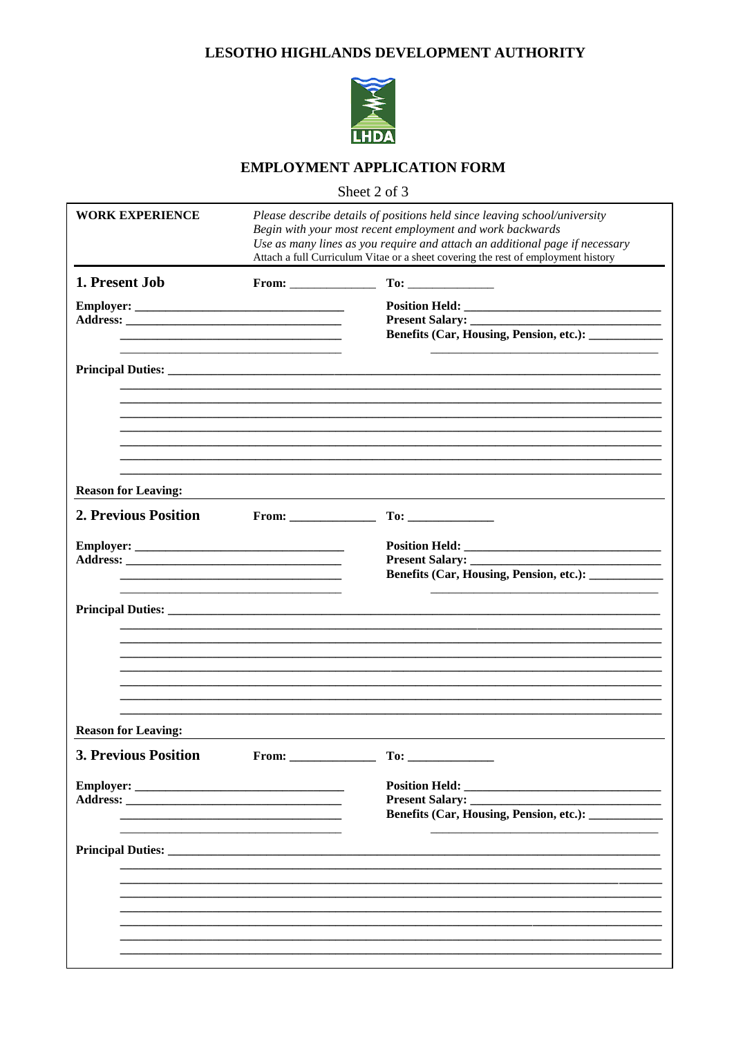## LESOTHO HIGHLANDS DEVELOPMENT AUTHORITY



# **EMPLOYMENT APPLICATION FORM**

Sheet 2 of 3

| <b>WORK EXPERIENCE</b>     |                      | Please describe details of positions held since leaving school/university<br>Begin with your most recent employment and work backwards<br>Use as many lines as you require and attach an additional page if necessary<br>Attach a full Curriculum Vitae or a sheet covering the rest of employment history |  |  |  |  |
|----------------------------|----------------------|------------------------------------------------------------------------------------------------------------------------------------------------------------------------------------------------------------------------------------------------------------------------------------------------------------|--|--|--|--|
| 1. Present Job             | $From: ____________$ |                                                                                                                                                                                                                                                                                                            |  |  |  |  |
|                            |                      |                                                                                                                                                                                                                                                                                                            |  |  |  |  |
|                            |                      |                                                                                                                                                                                                                                                                                                            |  |  |  |  |
|                            |                      |                                                                                                                                                                                                                                                                                                            |  |  |  |  |
|                            |                      |                                                                                                                                                                                                                                                                                                            |  |  |  |  |
|                            |                      |                                                                                                                                                                                                                                                                                                            |  |  |  |  |
|                            |                      |                                                                                                                                                                                                                                                                                                            |  |  |  |  |
|                            |                      |                                                                                                                                                                                                                                                                                                            |  |  |  |  |
|                            |                      |                                                                                                                                                                                                                                                                                                            |  |  |  |  |
| <b>Reason for Leaving:</b> |                      |                                                                                                                                                                                                                                                                                                            |  |  |  |  |
| 2. Previous Position       | $From: \_$           |                                                                                                                                                                                                                                                                                                            |  |  |  |  |
|                            |                      |                                                                                                                                                                                                                                                                                                            |  |  |  |  |
|                            |                      |                                                                                                                                                                                                                                                                                                            |  |  |  |  |
|                            |                      | Benefits (Car, Housing, Pension, etc.): _____________                                                                                                                                                                                                                                                      |  |  |  |  |
|                            |                      |                                                                                                                                                                                                                                                                                                            |  |  |  |  |
|                            |                      |                                                                                                                                                                                                                                                                                                            |  |  |  |  |
|                            |                      |                                                                                                                                                                                                                                                                                                            |  |  |  |  |
|                            |                      |                                                                                                                                                                                                                                                                                                            |  |  |  |  |
|                            |                      |                                                                                                                                                                                                                                                                                                            |  |  |  |  |
|                            |                      |                                                                                                                                                                                                                                                                                                            |  |  |  |  |
| <b>Reason for Leaving:</b> |                      |                                                                                                                                                                                                                                                                                                            |  |  |  |  |
| 3. Previous Position       | From:                | To:                                                                                                                                                                                                                                                                                                        |  |  |  |  |
|                            |                      |                                                                                                                                                                                                                                                                                                            |  |  |  |  |
|                            |                      |                                                                                                                                                                                                                                                                                                            |  |  |  |  |
|                            |                      |                                                                                                                                                                                                                                                                                                            |  |  |  |  |
|                            |                      |                                                                                                                                                                                                                                                                                                            |  |  |  |  |
|                            |                      |                                                                                                                                                                                                                                                                                                            |  |  |  |  |
|                            |                      |                                                                                                                                                                                                                                                                                                            |  |  |  |  |
|                            |                      |                                                                                                                                                                                                                                                                                                            |  |  |  |  |
|                            |                      |                                                                                                                                                                                                                                                                                                            |  |  |  |  |
|                            |                      |                                                                                                                                                                                                                                                                                                            |  |  |  |  |